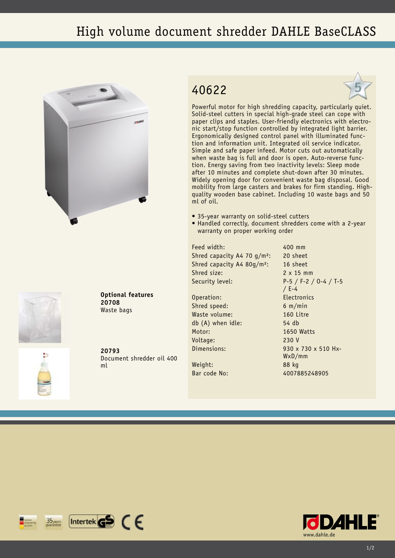## High volume document shredder DAHLE BaseCLASS





**Optional features 20708** Waste bags

**20793** Document shredder oil 400 ml

## 40622



Powerful motor for high shredding capacity, particularly quiet. Solid-steel cutters in special high-grade steel can cope with paper clips and staples. User-friendly electronics with electronic start/stop function controlled by integrated light barrier. Ergonomically designed control panel with illuminated function and information unit. Integrated oil service indicator. Simple and safe paper infeed. Motor cuts out automatically when waste bag is full and door is open. Auto-reverse function. Energy saving from two inactivity levels: Sleep mode after 10 minutes and complete shut-down after 30 minutes. Widely opening door for convenient waste bag disposal. Good mobility from large casters and brakes for firm standing. Highquality wooden base cabinet. Including 10 waste bags and 50 ml of oil.

- 35-year warranty on solid-steel cutters
- Handled correctly, document shredders come with a 2-year warranty on proper working order

Feed width: 400 mm Shred capacity A4 70 g/m<sup>2</sup>: 20 sheet Shred capacity A4 80g/m²: 16 sheet Shred size: 2 x 15 mm

Operation: Electronics Shred speed: 6 m/min Waste volume: 160 Litre db (A) when idle: 54 db Motor: 1650 Watts Voltage: 230 V

Weight: 88 kg

Security level: P-5 / F-2 / O-4 / T-5 / E-4 Dimensions: 930 x 730 x 510 Hx-WxD/mm Bar code No: 4007885248905